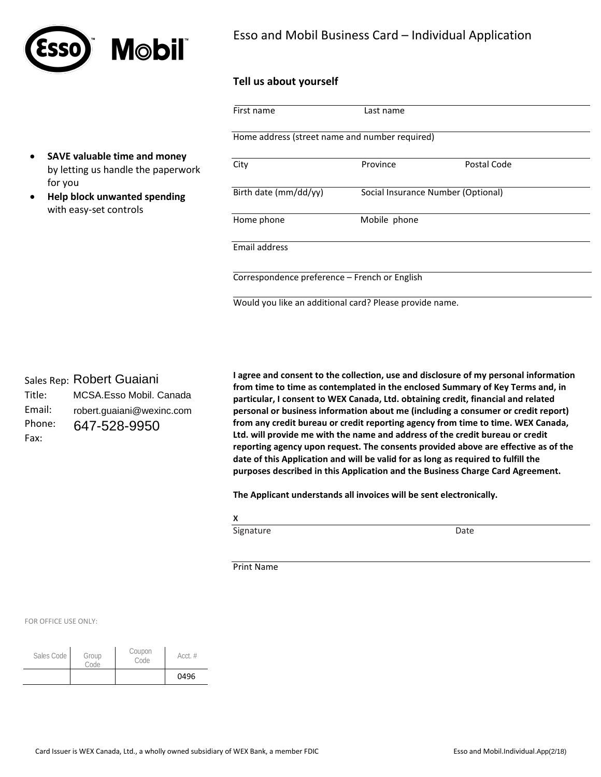

## Esso and Mobil Business Card – Individual Application

### **Tell us about yourself**

|                                                                                 | First name                                              | Last name                          |             |
|---------------------------------------------------------------------------------|---------------------------------------------------------|------------------------------------|-------------|
|                                                                                 | Home address (street name and number required)          |                                    |             |
| SAVE valuable time and money<br>$\bullet$<br>by letting us handle the paperwork | City                                                    | Province                           | Postal Code |
| for you<br>Help block unwanted spending<br>$\bullet$<br>with easy-set controls  | Birth date (mm/dd/yy)                                   | Social Insurance Number (Optional) |             |
|                                                                                 | Home phone                                              | Mobile phone                       |             |
|                                                                                 | Email address                                           |                                    |             |
|                                                                                 | Correspondence preference - French or English           |                                    |             |
|                                                                                 | Would you like an additional card? Please provide name. |                                    |             |

Sales Rep: Robert Guaiani

| Title: | MCSA.Esso Mobil. Canada   |
|--------|---------------------------|
| Email: | robert.guaiani@wexinc.com |
| Phone: | 647-528-9950              |
| Fax:   |                           |

**I agree and consent to the collection, use and disclosure of my personal information from time to time as contemplated in the enclosed Summary of Key Terms and, in particular, I consent to WEX Canada, Ltd. obtaining credit, financial and related personal or business information about me (including a consumer or credit report) from any credit bureau or credit reporting agency from time to time. WEX Canada, Ltd. will provide me with the name and address of the credit bureau or credit reporting agency upon request. The consents provided above are effective as of the date of this Application and will be valid for as long as required to fulfill the purposes described in this Application and the Business Charge Card Agreement.** 

**The Applicant understands all invoices will be sent electronically.** 

**X**

Signature Date

Print Name

FOR OFFICE USE ONLY:

| Sales Code | Group<br>Code | Coupon<br>Code | $Acct.$ # |
|------------|---------------|----------------|-----------|
|            |               |                | 0496      |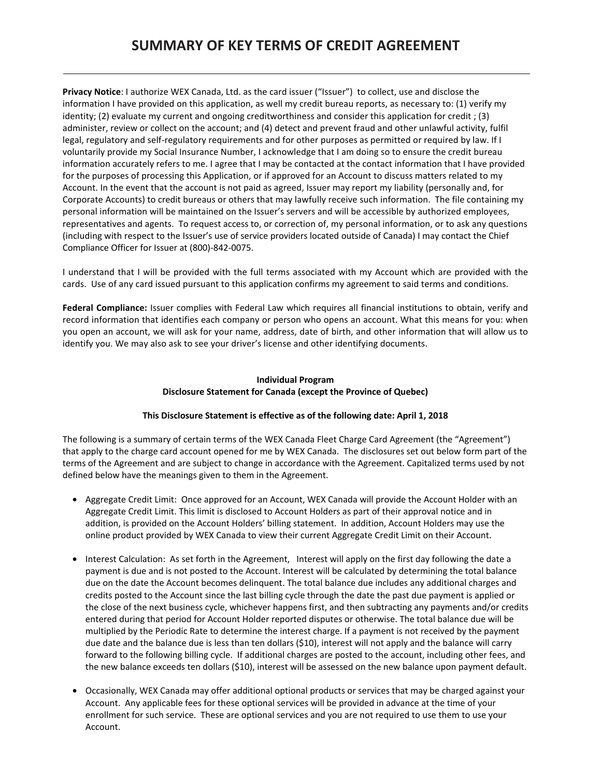# **SUMMARY OF KEY TERMS OF CREDIT AGREEMENT**

**Privacy Notice**: I authorize WEX Canada, Ltd. as the card issuer ("Issuer") to collect, use and disclose the information I have provided on this application, as well my credit bureau reports, as necessary to: (1) verify my identity; (2) evaluate my current and ongoing creditworthiness and consider this application for credit ; (3) administer, review or collect on the account; and (4) detect and prevent fraud and other unlawful activity, fulfil legal, regulatory and self-regulatory requirements and for other purposes as permitted or required by law. If I voluntarily provide my Social Insurance Number, I acknowledge that I am doing so to ensure the credit bureau information accurately refers to me. I agree that I may be contacted at the contact information that I have provided for the purposes of processing this Application, or if approved for an Account to discuss matters related to my Account. In the event that the account is not paid as agreed, Issuer may report my liability (personally and, for Corporate Accounts) to credit bureaus or others that may lawfully receive such information. The file containing my personal information will be maintained on the Issuer's servers and will be accessible by authorized employees, representatives and agents. To request access to, or correction of, my personal information, or to ask any questions (including with respect to the Issuer's use of service providers located outside of Canada) I may contact the Chief Compliance Officer for Issuer at (800)-842-0075.

I understand that I will be provided with the full terms associated with my Account which are provided with the cards. Use of any card issued pursuant to this application confirms my agreement to said terms and conditions.

**Federal Compliance:** Issuer complies with Federal Law which requires all financial institutions to obtain, verify and record information that identifies each company or person who opens an account. What this means for you: when you open an account, we will ask for your name, address, date of birth, and other information that will allow us to identify you. We may also ask to see your driver's license and other identifying documents.

### **Individual Program Disclosure Statement for Canada (except the Province of Quebec)**

### **This Disclosure Statement is effective as of the following date: April 1, 2018**

The following is a summary of certain terms of the WEX Canada Fleet Charge Card Agreement (the "Agreement") that apply to the charge card account opened for me by WEX Canada. The disclosures set out below form part of the terms of the Agreement and are subject to change in accordance with the Agreement. Capitalized terms used by not defined below have the meanings given to them in the Agreement.

- Aggregate Credit Limit: Once approved for an Account, WEX Canada will provide the Account Holder with an Aggregate Credit Limit. This limit is disclosed to Account Holders as part of their approval notice and in addition, is provided on the Account Holders' billing statement. In addition, Account Holders may use the online product provided by WEX Canada to view their current Aggregate Credit Limit on their Account.
- Interest Calculation: As set forth in the Agreement, Interest will apply on the first day following the date a payment is due and is not posted to the Account. Interest will be calculated by determining the total balance due on the date the Account becomes delinquent. The total balance due includes any additional charges and credits posted to the Account since the last billing cycle through the date the past due payment is applied or the close of the next business cycle, whichever happens first, and then subtracting any payments and/or credits entered during that period for Account Holder reported disputes or otherwise. The total balance due will be multiplied by the Periodic Rate to determine the interest charge. If a payment is not received by the payment due date and the balance due is less than ten dollars (\$10), interest will not apply and the balance will carry forward to the following billing cycle. If additional charges are posted to the account, including other fees, and the new balance exceeds ten dollars (\$10), interest will be assessed on the new balance upon payment default.
- Occasionally, WEX Canada may offer additional optional products or services that may be charged against your Account. Any applicable fees for these optional services will be provided in advance at the time of your enrollment for such service. These are optional services and you are not required to use them to use your Account.